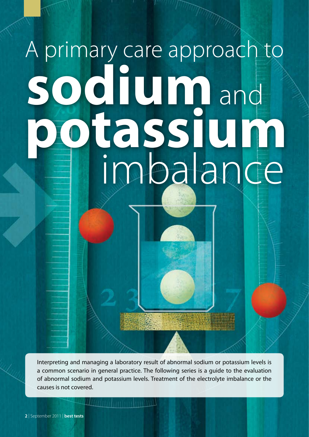# A primary care approach to **sodium potassium** and imbalance

Interpreting and managing a laboratory result of abnormal sodium or potassium levels is a common scenario in general practice. The following series is a guide to the evaluation of abnormal sodium and potassium levels. Treatment of the electrolyte imbalance or the causes is not covered.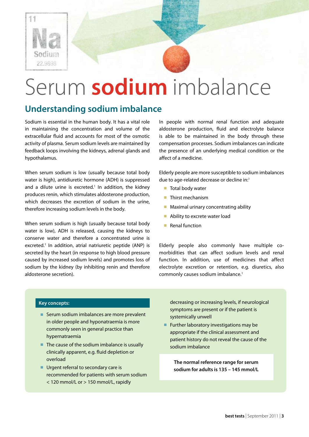

## Serum **sodium** imbalance

## **Understanding sodium imbalance**

Sodium is essential in the human body. It has a vital role in maintaining the concentration and volume of the extracellular fluid and accounts for most of the osmotic activity of plasma. Serum sodium levels are maintained by feedback loops involving the kidneys, adrenal glands and hypothalamus.

When serum sodium is low (usually because total body water is high), antidiuretic hormone (ADH) is suppressed and a dilute urine is excreted.<sup>1</sup> In addition, the kidney produces renin, which stimulates aldosterone production, which decreases the excretion of sodium in the urine, therefore increasing sodium levels in the body.

When serum sodium is high (usually because total body water is low), ADH is released, causing the kidneys to conserve water and therefore a concentrated urine is excreted.<sup>1</sup> In addition, atrial natriuretic peptide (ANP) is secreted by the heart (in response to high blood pressure caused by increased sodium levels) and promotes loss of sodium by the kidney (by inhibiting renin and therefore aldosterone secretion).

In people with normal renal function and adequate aldosterone production, fluid and electrolyte balance is able to be maintained in the body through these compensation processes. Sodium imbalances can indicate the presence of an underlying medical condition or the affect of a medicine.

Elderly people are more susceptible to sodium imbalances due to age-related decrease or decline in:<sup>1</sup>

- Total body water
- Thirst mechanism
- Maximal urinary concentrating ability
- Ability to excrete water load
- Renal function

Elderly people also commonly have multiple comorbidities that can affect sodium levels and renal function. In addition, use of medicines that affect electrolyte excretion or retention, e.g. diuretics, also commonly causes sodium imbalance.<sup>1</sup>

#### **Key concepts:**

- Serum sodium imbalances are more prevalent in older people and hyponatraemia is more commonly seen in general practice than hypernatraemia
- The cause of the sodium imbalance is usually clinically apparent, e.g. fluid depletion or overload
- Urgent referral to secondary care is recommended for patients with serum sodium < 120 mmol/L or > 150 mmol/L, rapidly

decreasing or increasing levels, if neurological symptoms are present or if the patient is systemically unwell

■ Further laboratory investigations may be appropriate if the clinical assessment and patient history do not reveal the cause of the sodium imbalance

**The normal reference range for serum sodium for adults is 135 – 145 mmol/L**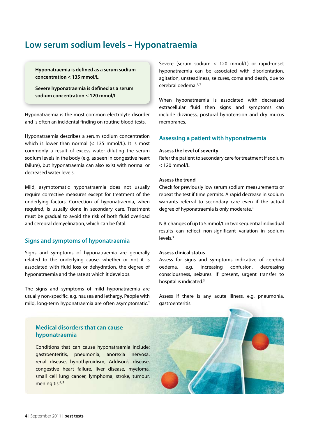## **Low serum sodium levels – Hyponatraemia**

**Hyponatraemia is defined as a serum sodium concentration < 135 mmol/L**

**Severe hyponatraemia is defined as a serum sodium concentration ≤ 120 mmol/L**

Hyponatraemia is the most common electrolyte disorder and is often an incidental finding on routine blood tests.

Hyponatraemia describes a serum sodium concentration which is lower than normal (< 135 mmol/L). It is most commonly a result of excess water diluting the serum sodium levels in the body (e.g. as seen in congestive heart failure), but hyponatraemia can also exist with normal or decreased water levels.

Mild, asymptomatic hyponatraemia does not usually require corrective measures except for treatment of the underlying factors. Correction of hyponatraemia, when required, is usually done in secondary care. Treatment must be gradual to avoid the risk of both fluid overload and cerebral demyelination, which can be fatal.

#### **Signs and symptoms of hyponatraemia**

Signs and symptoms of hyponatraemia are generally related to the underlying cause, whether or not it is associated with fluid loss or dehydration, the degree of hyponatraemia and the rate at which it develops.

The signs and symptoms of mild hyponatraemia are usually non-specific, e.g. nausea and lethargy. People with mild, long-term hyponatraemia are often asymptomatic.<sup>2</sup>

#### **Medical disorders that can cause hyponatraemia**

Conditions that can cause hyponatraemia include: gastroenteritis, pneumonia, anorexia nervosa, renal disease, hypothyroidism, Addison's disease, congestive heart failure, liver disease, myeloma, small cell lung cancer, lymphoma, stroke, tumour, meningitis.<sup>4, 5</sup>

Severe (serum sodium < 120 mmol/L) or rapid-onset hyponatraemia can be associated with disorientation, agitation, unsteadiness, seizures, coma and death, due to cerebral oedema.1, 2

When hyponatraemia is associated with decreased extracellular fluid then signs and symptoms can include dizziness, postural hypotension and dry mucus membranes.

#### **Assessing a patient with hyponatraemia**

#### **Assess the level of severity**

Refer the patient to secondary care for treatment if sodium < 120 mmol/L.

#### **Assess the trend**

Check for previously low serum sodium measurements or repeat the test if time permits. A rapid decrease in sodium warrants referral to secondary care even if the actual degree of hyponatraemia is only moderate.3

N.B. changes of up to 5 mmol/L in two sequential individual results can reflect non-significant variation in sodium levels.3

#### **Assess clinical status**

Assess for signs and symptoms indicative of cerebral oedema, e.g. increasing confusion, decreasing consciousness, seizures. If present, urgent transfer to hospital is indicated.<sup>3</sup>

Assess if there is any acute illness, e.g. pneumonia, gastroenteritis.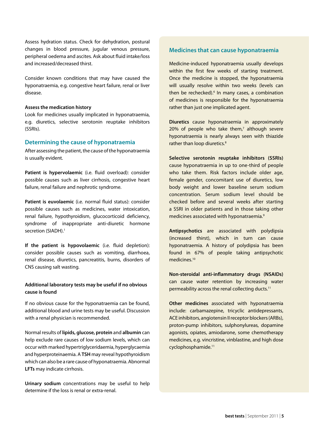Assess hydration status. Check for dehydration, postural changes in blood pressure, jugular venous pressure, peripheral oedema and ascites. Ask about fluid intake/loss and increased/decreased thirst.

Consider known conditions that may have caused the hyponatraemia, e.g. congestive heart failure, renal or liver disease.

#### **Assess the medication history**

Look for medicines usually implicated in hyponatraemia, e.g. diuretics, selective serotonin reuptake inhibitors (SSRIs).

#### **Determining the cause of hyponatraemia**

After assessing the patient, the cause of the hyponatraemia is usually evident.

**Patient is hypervolaemic** (i.e. fluid overload): consider possible causes such as liver cirrhosis, congestive heart failure, renal failure and nephrotic syndrome.

**Patient is euvolaemic** (i.e. normal fluid status): consider possible causes such as medicines, water intoxication, renal failure, hypothyroidism, glucocorticoid deficiency, syndrome of inappropriate anti-diuretic hormone secretion (SIADH).<sup>1</sup>

**If the patient is hypovolaemic** (i.e. fluid depletion): consider possible causes such as vomiting, diarrhoea, renal disease, diuretics, pancreatitis, burns, disorders of CNS causing salt wasting.

#### **Additional laboratory tests may be useful if no obvious cause is found**

If no obvious cause for the hyponatraemia can be found, additional blood and urine tests may be useful. Discussion with a renal physician is recommended.

Normal results of **lipids, glucose, protein** and **albumin** can help exclude rare causes of low sodium levels, which can occur with marked hypertriglyceridaemia, hyperglycaemia and hyperproteinaemia. A **TSH** may reveal hypothyroidism which can also be a rare cause of hyponatraemia. Abnormal **LFTs** may indicate cirrhosis.

**Urinary sodium** concentrations may be useful to help determine if the loss is renal or extra-renal.

#### **Medicines that can cause hyponatraemia**

Medicine-induced hyponatraemia usually develops within the first few weeks of starting treatment. Once the medicine is stopped, the hyponatraemia will usually resolve within two weeks (levels can then be rechecked).<sup>6</sup> In many cases, a combination of medicines is responsible for the hyponatraemia rather than just one implicated agent.

**Diuretics** cause hyponatraemia in approximately  $20\%$  of people who take them, $7$  although severe hyponatraemia is nearly always seen with thiazide rather than loop diuretics.<sup>8</sup>

**Selective serotonin reuptake inhibitors (SSRIs)** cause hyponatraemia in up to one-third of people who take them. Risk factors include older age, female gender, concomitant use of diuretics, low body weight and lower baseline serum sodium concentration. Serum sodium level should be checked before and several weeks after starting a SSRI in older patients and in those taking other medicines associated with hyponatraemia.9

**Antipsychotics** are associated with polydipsia (increased thirst), which in turn can cause hyponatraemia. A history of polydipsia has been found in 67% of people taking antipsychotic medicines<sup>10</sup>

**Non-steroidal anti-inflammatory drugs (NSAIDs)** can cause water retention by increasing water permeability across the renal collecting ducts.11

**Other medicines** associated with hyponatraemia include: carbamazepine, tricyclic antidepressants, ACE inhibitors, angiotensin II receptor blockers (ARBs), proton-pump inhibitors, sulphonylureas, dopamine agonists, opiates, amiodarone, some chemotherapy medicines, e.g. vincristine, vinblastine, and high dose cyclophosphamide.11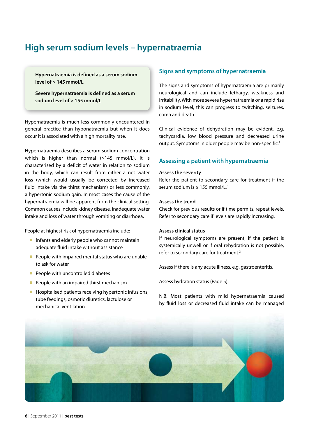## **High serum sodium levels – hypernatraemia**

**Hypernatraemia is defined as a serum sodium level of > 145 mmol/L** 

**Severe hypernatraemia is defined as a serum sodium level of > 155 mmol/L** 

Hypernatraemia is much less commonly encountered in general practice than hyponatraemia but when it does occur it is associated with a high mortality rate.

Hypernatraemia describes a serum sodium concentration which is higher than normal (>145 mmol/L). It is characterised by a deficit of water in relation to sodium in the body, which can result from either a net water loss (which would usually be corrected by increased fluid intake via the thirst mechanism) or less commonly, a hypertonic sodium gain. In most cases the cause of the hypernatraemia will be apparent from the clinical setting. Common causes include kidney disease, inadequate water intake and loss of water through vomiting or diarrhoea.

People at highest risk of hypernatraemia include:

- Infants and elderly people who cannot maintain adequate fluid intake without assistance
- People with impaired mental status who are unable to ask for water
- People with uncontrolled diabetes
- People with an impaired thirst mechanism
- Hospitalised patients receiving hypertonic infusions, tube feedings, osmotic diuretics, lactulose or mechanical ventilation

#### **Signs and symptoms of hypernatraemia**

The signs and symptoms of hypernatraemia are primarily neurological and can include lethargy, weakness and irritability. With more severe hypernatraemia or a rapid rise in sodium level, this can progress to twitching, seizures, coma and death.<sup>1</sup>

Clinical evidence of dehydration may be evident, e.g. tachycardia, low blood pressure and decreased urine output. Symptoms in older people may be non-specific.<sup>1</sup>

#### **Assessing a patient with hypernatraemia**

#### **Assess the severity**

Refer the patient to secondary care for treatment if the serum sodium is ≥ 155 mmol/L.<sup>3</sup>

#### **Assess the trend**

Check for previous results or if time permits, repeat levels. Refer to secondary care if levels are rapidly increasing.

#### **Assess clinical status**

If neurological symptoms are present, if the patient is systemically unwell or if oral rehydration is not possible, refer to secondary care for treatment.<sup>3</sup>

Assess if there is any acute illness, e.g. gastroenteritis.

Assess hydration status (Page 5).

N.B. Most patients with mild hypernatraemia caused by fluid loss or decreased fluid intake can be managed

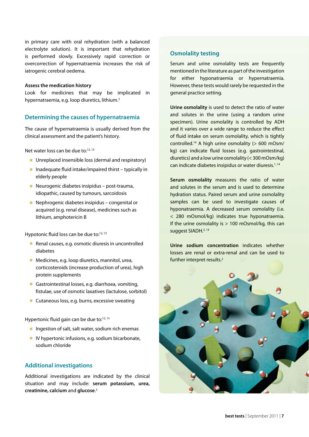in primary care with oral rehydration (with a balanced electrolyte solution). It is important that rehydration is performed slowly. Excessively rapid correction or overcorrection of hypernatraemia increases the risk of iatrogenic cerebral oedema.

#### **Assess the medication history**

Look for medicines that may be implicated in hypernatraemia, e.g. loop diuretics, lithium.<sup>3</sup>

#### **Determining the causes of hypernatraemia**

The cause of hypernatraemia is usually derived from the clinical assessment and the patient's history.

Net water loss can be due to:<sup>12, 13</sup>

- Unreplaced insensible loss (dermal and respiratory)
- Inadequate fluid intake/impaired thirst typically in elderly people
- Neurogenic diabetes insipidus post-trauma, idiopathic, caused by tumours, sarcoidosis
- Nephrogenic diabetes insipidus congenital or acquired (e.g. renal disease), medicines such as lithium, amphotericin B

Hypotonic fluid loss can be due to:<sup>12, 13</sup>

- Renal causes, e.g. osmotic diuresis in uncontrolled diabetes
- Medicines, e.g. loop diuretics, mannitol, urea, corticosteroids (increase production of urea), high protein supplements
- Gastrointestinal losses, e.g. diarrhoea, vomiting, fistulae, use of osmotic laxatives (lactulose, sorbitol)
- Cutaneous loss, e.g. burns, excessive sweating

Hypertonic fluid gain can be due to:<sup>12, 13</sup>

- Ingestion of salt, salt water, sodium rich enemas
- IV hypertonic infusions, e.g. sodium bicarbonate, sodium chloride

#### **Additional investigations**

Additional investigations are indicated by the clinical situation and may include: **serum potassium, urea, creatinine, calcium** and **glucose**. 3

#### **Osmolality testing**

Serum and urine osmolality tests are frequently mentioned in the literature as part of the investigation for either hyponatraemia or hypernatraemia. However, these tests would rarely be requested in the general practice setting.

**Urine osmolality** is used to detect the ratio of water and solutes in the urine (using a random urine specimen). Urine osmolality is controlled by ADH and it varies over a wide range to reduce the effect of fluid intake on serum osmolality, which is tightly controlled.14 A high urine osmolality (> 600 mOsm/ kg) can indicate fluid losses (e.g. gastrointestinal, diuretics) and a low urine osmolality (< 300 mOsm/kg) can indicate diabetes insipidus or water diuresis.1, 14

**Serum osmolality** measures the ratio of water and solutes in the serum and is used to determine hydration status. Paired serum and urine osmolality samples can be used to investigate causes of hyponatraemia. A decreased serum osmolality (i.e. < 280 mOsmol/kg) indicates true hyponatraemia. If the urine osmolality is  $> 100$  mOsmol/kg, this can suggest SIADH.<sup>2, 14</sup>

**Urine sodium concentration** indicates whether losses are renal or extra-renal and can be used to further interpret results.<sup>2</sup>

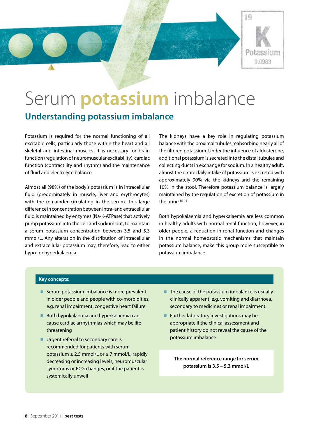

## Serum **potassium** imbalance **Understanding potassium imbalance**

Potassium is required for the normal functioning of all excitable cells, particularly those within the heart and all skeletal and intestinal muscles. It is necessary for brain function (regulation of neuromuscular excitability), cardiac function (contractility and rhythm) and the maintenance of fluid and electrolyte balance.

Almost all (98%) of the body's potassium is in intracellular fluid (predominately in muscle, liver and erythrocytes) with the remainder circulating in the serum. This large difference in concentration between intra- and extracellular fluid is maintained by enzymes (Na-K-ATPase) that actively pump potassium into the cell and sodium out, to maintain a serum potassium concentration between 3.5 and 5.3 mmol/L. Any alteration in the distribution of intracellular and extracellular potassium may, therefore, lead to either hypo- or hyperkalaemia.

The kidneys have a key role in regulating potassium balance with the proximal tubules reabsorbing nearly all of the filtered potassium. Under the influence of aldosterone, additional potassium is secreted into the distal tubules and collecting ducts in exchange for sodium. In a healthy adult, almost the entire daily intake of potassium is excreted with approximately 90% via the kidneys and the remaining 10% in the stool. Therefore potassium balance is largely maintained by the regulation of excretion of potassium in the urine. $15, 16$ 

Both hypokalaemia and hyperkalaemia are less common in healthy adults with normal renal function, however, in older people, a reduction in renal function and changes in the normal homeostatic mechanisms that maintain potassium balance, make this group more susceptible to potassium imbalance.

#### **Key concepts:**

- Serum potassium imbalance is more prevalent in older people and people with co-morbidities, e.g. renal impairment, congestive heart failure
- Both hypokalaemia and hyperkalaemia can cause cardiac arrhythmias which may be life threatening
- Urgent referral to secondary care is recommended for patients with serum potassium ≤ 2.5 mmol/L or ≥ 7 mmol/L, rapidly decreasing or increasing levels, neuromuscular symptoms or ECG changes, or if the patient is systemically unwell
- The cause of the potassium imbalance is usually clinically apparent, e.g. vomiting and diarrhoea, secondary to medicines or renal impairment.
- Further laboratory investigations may be appropriate if the clinical assessment and patient history do not reveal the cause of the potassium imbalance

**The normal reference range for serum potassium is 3.5 – 5.3 mmol/L**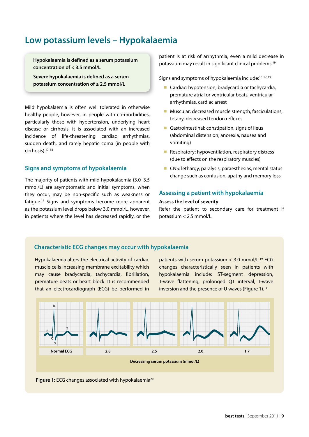### **Low potassium levels – Hypokalaemia**

**Hypokalaemia is defined as a serum potassium concentration of < 3.5 mmol/L** 

**Severe hypokalaemia is defined as a serum potassium concentration of ≤ 2.5 mmol/L**

Mild hypokalaemia is often well tolerated in otherwise healthy people, however, in people with co-morbidities, particularly those with hypertension, underlying heart disease or cirrhosis, it is associated with an increased incidence of life-threatening cardiac arrhythmias, sudden death, and rarely hepatic coma (in people with cirrhosis).17, 18

#### **Signs and symptoms of hypokalaemia**

The majority of patients with mild hypokalaemia (3.0–3.5 mmol/L) are asymptomatic and initial symptoms, when they occur, may be non-specific such as weakness or fatigue.17 Signs and symptoms become more apparent as the potassium level drops below 3.0 mmol/L, however, in patients where the level has decreased rapidly, or the patient is at risk of arrhythmia, even a mild decrease in potassium may result in significant clinical problems.19

Signs and symptoms of hypokalaemia include:<sup>16,17,19</sup>

- Cardiac: hypotension, bradycardia or tachycardia, premature atrial or ventricular beats, ventricular arrhythmias, cardiac arrest
- Muscular: decreased muscle strength, fasciculations, tetany, decreased tendon reflexes
- Gastrointestinal: constipation, signs of ileus (abdominal distension, anorexia, nausea and vomiting)
- Respiratory: hypoventilation, respiratory distress (due to effects on the respiratory muscles)
- CNS: lethargy, paralysis, paraesthesias, mental status change such as confusion, apathy and memory loss

#### **Assessing a patient with hypokalaemia**

#### **Assess the level of severity**

Refer the patient to secondary care for treatment if potassium < 2.5 mmol/L.

#### **Characteristic ECG changes may occur with hypokalaemia**

Hypokalaemia alters the electrical activity of cardiac muscle cells increasing membrane excitability which may cause bradycardia, tachycardia, fibrillation, premature beats or heart block. It is recommended that an electrocardiograph (ECG) be performed in

patients with serum potassium  $<$  3.0 mmol/L.<sup>19</sup> ECG changes characteristically seen in patients with hypokalaemia include: ST-segment depression, T-wave flattening, prolonged QT interval, T-wave inversion and the presence of U waves (Figure 1).<sup>18</sup>



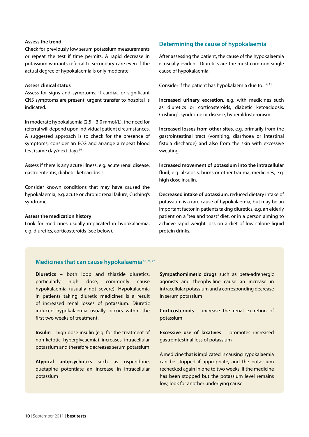#### **Assess the trend**

Check for previously low serum potassium measurements or repeat the test if time permits. A rapid decrease in potassium warrants referral to secondary care even if the actual degree of hypokalaemia is only moderate.

#### **Assess clinical status**

Assess for signs and symptoms. If cardiac or significant CNS symptoms are present, urgent transfer to hospital is indicated.

In moderate hypokalaemia (2.5 – 3.0 mmol/L), the need for referral will depend upon individual patient circumstances. A suggested approach is to check for the presence of symptoms, consider an ECG and arrange a repeat blood test (same day/next day).<sup>19</sup>

Assess if there is any acute illness, e.g. acute renal disease, gastroenteritis, diabetic ketoacidosis.

Consider known conditions that may have caused the hypokalaemia, e.g. acute or chronic renal failure, Cushing's syndrome.

#### **Assess the medication history**

Look for medicines usually implicated in hypokalaemia, e.g. diuretics, corticosteroids (see below).

#### **Determining the cause of hypokalaemia**

After assessing the patient, the cause of the hypokalaemia is usually evident. Diuretics are the most common single cause of hypokalaemia.

Consider if the patient has hypokalaemia due to: 16, 21

**Increased urinary excretion**, e.g. with medicines such as diuretics or corticosteroids, diabetic ketoacidosis, Cushing's syndrome or disease, hyperaldosteronism.

**Increased losses from other sites**, e.g. primarily from the gastrointestinal tract (vomiting, diarrhoea or intestinal fistula discharge) and also from the skin with excessive sweating.

**Increased movement of potassium into the intracellular fluid**, e.g. alkalosis, burns or other trauma, medicines, e.g. high dose insulin.

**Decreased intake of potassium**, reduced dietary intake of potassium is a rare cause of hypokalaemia, but may be an important factor in patients taking diuretics, e.g. an elderly patient on a "tea and toast" diet, or in a person aiming to achieve rapid weight loss on a diet of low calorie liquid protein drinks.

#### **Medicines that can cause hypokalaemia** 16, 21, 22

**Diuretics** – both loop and thiazide diuretics, particularly high dose, commonly cause hypokalaemia (usually not severe). Hypokalaemia in patients taking diuretic medicines is a result of increased renal losses of potassium. Diuretic induced hypokalaemia usually occurs within the first two weeks of treatment.

**Insulin** – high dose insulin (e.g. for the treatment of non-ketotic hyperglycaemia) increases intracellular potassium and therefore decreases serum potassium

**Atypical antipsychotics** such as risperidone, quetapine potentiate an increase in intracellular potassium

**Sympathomimetic drugs** such as beta-adrenergic agonists and theophylline cause an increase in intracellular potassium and a corresponding decrease in serum potassium

**Corticosteroids** – increase the renal excretion of potassium

**Excessive use of laxatives** – promotes increased gastrointestinal loss of potassium

A medicine that is implicated in causing hypokalaemia can be stopped if appropriate, and the potassium rechecked again in one to two weeks. If the medicine has been stopped but the potassium level remains low, look for another underlying cause.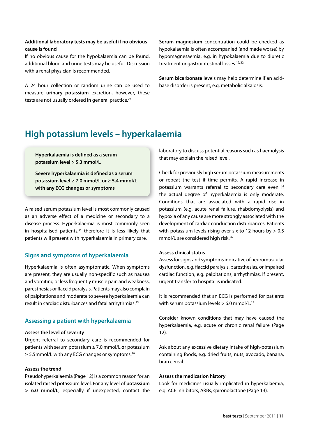#### **Additional laboratory tests may be useful if no obvious cause is found**

If no obvious cause for the hypokalaemia can be found, additional blood and urine tests may be useful. Discussion with a renal physician is recommended.

A 24 hour collection or random urine can be used to measure **urinary potassium** excretion, however, these tests are not usually ordered in general practice.<sup>23</sup>

**Serum magnesium** concentration could be checked as hypokalaemia is often accompanied (and made worse) by hypomagnesaemia, e.g. in hypokalaemia due to diuretic treatment or gastrointestinal losses 19, 22

**Serum bicarbonate** levels may help determine if an acidbase disorder is present, e.g. metabolic alkalosis.

## **High potassium levels – hyperkalaemia**

#### **Hyperkalaemia is defined as a serum potassium level > 5.3 mmol/L**

**Severe hyperkalaemia is defined as a serum potassium level ≥ 7.0 mmol/L or ≥ 5.4 mmol/L with any ECG changes or symptoms**

A raised serum potassium level is most commonly caused as an adverse effect of a medicine or secondary to a disease process. Hyperkalaemia is most commonly seen in hospitalised patients, $24$  therefore it is less likely that patients will present with hyperkalaemia in primary care.

#### **Signs and symptoms of hyperkalaemia**

Hyperkalaemia is often asymptomatic. When symptoms are present, they are usually non-specific such as nausea and vomiting or less frequently muscle pain and weakness, paresthesias or flaccid paralysis. Patients may also complain of palpitations and moderate to severe hyperkalaemia can result in cardiac disturbances and fatal arrhythmias.25

#### **Assessing a patient with hyperkalaemia**

#### **Assess the level of severity**

Urgent referral to secondary care is recommended for patients with serum potassium ≥ 7.0 mmol/L **or** potassium ≥ 5.5mmol/L with any ECG changes or symptoms.<sup>26</sup>

#### **Assess the trend**

Pseudohyperkalaemia (Page 12) is a common reason for an isolated raised potassium level. For any level of **potassium > 6.0 mmol/L**, especially if unexpected, contact the

laboratory to discuss potential reasons such as haemolysis that may explain the raised level.

Check for previously high serum potassium measurements or repeat the test if time permits. A rapid increase in potassium warrants referral to secondary care even if the actual degree of hyperkalaemia is only moderate. Conditions that are associated with a rapid rise in potassium (e.g. acute renal failure, rhabdomyolysis) and hypoxia of any cause are more strongly associated with the development of cardiac conduction disturbances. Patients with potassium levels rising over six to 12 hours by  $> 0.5$ mmol/L are considered high risk.<sup>26</sup>

#### **Assess clinical status**

Assess for signs and symptoms indicative of neuromuscular dysfunction, e.g. flaccid paralysis, paresthesias, or impaired cardiac function, e.g. palpitations, arrhythmias. If present, urgent transfer to hospital is indicated.

It is recommended that an ECG is performed for patients with serum potassium levels  $> 6.0$  mmol/L.<sup>19</sup>

Consider known conditions that may have caused the hyperkalaemia, e.g. acute or chronic renal failure (Page 12).

Ask about any excessive dietary intake of high-potassium containing foods, e.g. dried fruits, nuts, avocado, banana, bran cereal.

#### **Assess the medication history**

Look for medicines usually implicated in hyperkalaemia, e.g. ACE inhibitors, ARBs, spironolactone (Page 13).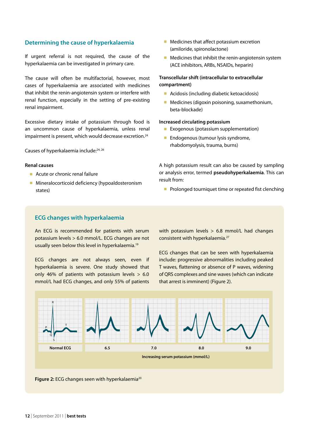#### **Determining the cause of hyperkalaemia**

If urgent referral is not required, the cause of the hyperkalaemia can be investigated in primary care.

The cause will often be multifactorial, however, most cases of hyperkalaemia are associated with medicines that inhibit the renin-angiotensin system or interfere with renal function, especially in the setting of pre-existing renal impairment.

Excessive dietary intake of potassium through food is an uncommon cause of hyperkalaemia, unless renal impairment is present, which would decrease excretion.<sup>24</sup>

Causes of hyperkalaemia include:24, 26

#### **Renal causes**

- Acute or chronic renal failure
- Mineralocorticoid deficiency (hypoaldosteronism states)
- Medicines that affect potassium excretion (amiloride, spironolactone)
- Medicines that inhibit the renin-angiotensin system (ACE inhibitors, ARBs, NSAIDs, heparin)

#### **Transcellular shift (intracellular to extracellular compartment)**

- Acidosis (including diabetic ketoacidosis)
- Medicines (digoxin poisoning, suxamethonium, beta-blockade)

#### **Increased circulating potassium**

- Exogenous (potassium supplementation)
- Endogenous (tumour lysis syndrome, rhabdomyolysis, trauma, burns)

A high potassium result can also be caused by sampling or analysis error, termed **pseudohyperkalaemia**. This can result from:

■ Prolonged tourniquet time or repeated fist clenching

#### **ECG changes with hyperkalaemia**

An ECG is recommended for patients with serum potassium levels > 6.0 mmol/L. ECG changes are not usually seen below this level in hyperkalaemia.<sup>19</sup>

ECG changes are not always seen, even if hyperkalaemia is severe. One study showed that only 46% of patients with potassium levels  $> 6.0$ mmol/L had ECG changes, and only 55% of patients

with potassium levels  $> 6.8$  mmol/L had changes consistent with hyperkalaemia.27

ECG changes that can be seen with hyperkalaemia include: progressive abnormalities including peaked T waves, flattening or absence of P waves, widening of QRS complexes and sine waves (which can indicate that arrest is imminent) (Figure 2).



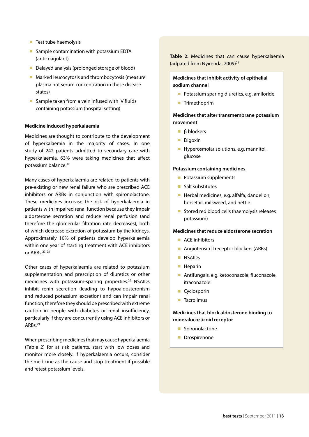- Test tube haemolysis
- Sample contamination with potassium EDTA (anticoagulant)
- Delayed analysis (prolonged storage of blood)
- Marked leucocytosis and thrombocytosis (measure plasma not serum concentration in these disease states)
- Sample taken from a vein infused with IV fluids containing potassium (hospital setting)

#### **Medicine induced hyperkalaemia**

Medicines are thought to contribute to the development of hyperkalaemia in the majority of cases. In one study of 242 patients admitted to secondary care with hyperkalaemia, 63% were taking medicines that affect potassium balance.<sup>27</sup>

Many cases of hyperkalaemia are related to patients with pre-existing or new renal failure who are prescribed ACE inhibitors or ARBs in conjunction with spironolactone. These medicines increase the risk of hyperkalaemia in patients with impaired renal function because they impair aldosterone secretion and reduce renal perfusion (and therefore the glomerular filtration rate decreases), both of which decrease excretion of potassium by the kidneys. Approximately 10% of patients develop hyperkalaemia within one year of starting treatment with ACE inhibitors or ARBs.27, 28

Other cases of hyperkalaemia are related to potassium supplementation and prescription of diuretics or other medicines with potassium-sparing properties.26 NSAIDs inhibit renin secretion (leading to hypoaldosteronism and reduced potassium excretion) and can impair renal function, therefore they should be prescribed with extreme caution in people with diabetes or renal insufficiency, particularly if they are concurrently using ACE inhibitors or ARBs.29

When prescribing medicines that may cause hyperkalaemia (Table 2) for at risk patients, start with low doses and monitor more closely. If hyperkalaemia occurs, consider the medicine as the cause and stop treatment if possible and retest potassium levels.

**Table 2:** Medicines that can cause hyperkalaemia (adpated from Nyirenda, 2009)<sup>24</sup>

#### **Medicines that inhibit activity of epithelial sodium channel**

- Potassium sparing diuretics, e.g. amiloride
- Trimethoprim

#### **Medicines that alter transmembrane potassium movement**

- β blockers
- Digoxin
- Hyperosmolar solutions, e.g. mannitol, glucose

#### **Potassium containing medicines**

- Potassium supplements
- Salt substitutes
- Herbal medicines, e.g. alfalfa, dandelion, horsetail, milkweed, and nettle
- Stored red blood cells (haemolysis releases potassium)

#### **Medicines that reduce aldosterone secretion**

- ACE inhibitors
- Angiotensin II receptor blockers (ARBs)
- NSAID<sub>s</sub>
- Heparin
- Antifungals, e.g. ketoconazole, fluconazole, itraconazole
- Cyclosporin
- Tacrolimus

#### **Medicines that block aldosterone binding to mineralocorticoid receptor**

- Spironolactone
- Drospirenone